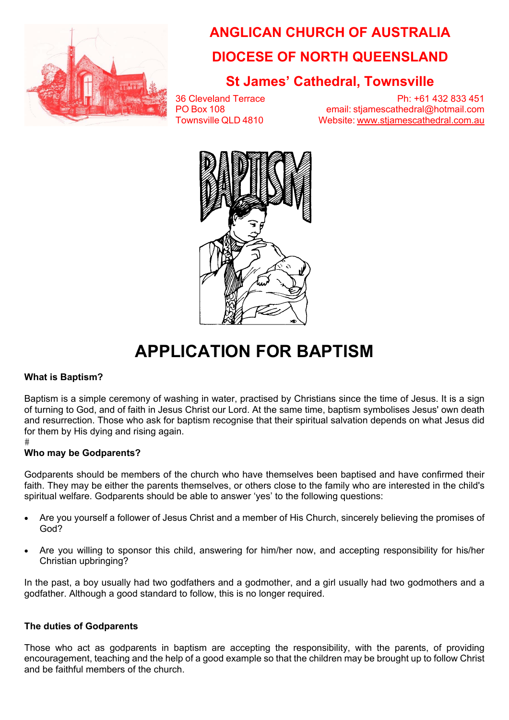

# **ANGLICAN CHURCH OF AUSTRALIA DIOCESE OF NORTH QUEENSLAND**

## **St James' Cathedral, Townsville**

36 Cleveland Terrace Ph: +61 432 833 451 PO Box 108 email: stjamescathedral@hotmail.com Townsville QLD 4810 Website: www.stjamescathedral.com.au



# **APPLICATION FOR BAPTISM**

### **What is Baptism?**

Baptism is a simple ceremony of washing in water, practised by Christians since the time of Jesus. It is a sign of turning to God, and of faith in Jesus Christ our Lord. At the same time, baptism symbolises Jesus' own death and resurrection. Those who ask for baptism recognise that their spiritual salvation depends on what Jesus did for them by His dying and rising again.

#

### **Who may be Godparents?**

Godparents should be members of the church who have themselves been baptised and have confirmed their faith. They may be either the parents themselves, or others close to the family who are interested in the child's spiritual welfare. Godparents should be able to answer 'yes' to the following questions:

- Are you yourself a follower of Jesus Christ and a member of His Church, sincerely believing the promises of God?
- Are you willing to sponsor this child, answering for him/her now, and accepting responsibility for his/her Christian upbringing?

In the past, a boy usually had two godfathers and a godmother, and a girl usually had two godmothers and a godfather. Although a good standard to follow, this is no longer required.

### **The duties of Godparents**

Those who act as godparents in baptism are accepting the responsibility, with the parents, of providing encouragement, teaching and the help of a good example so that the children may be brought up to follow Christ and be faithful members of the church.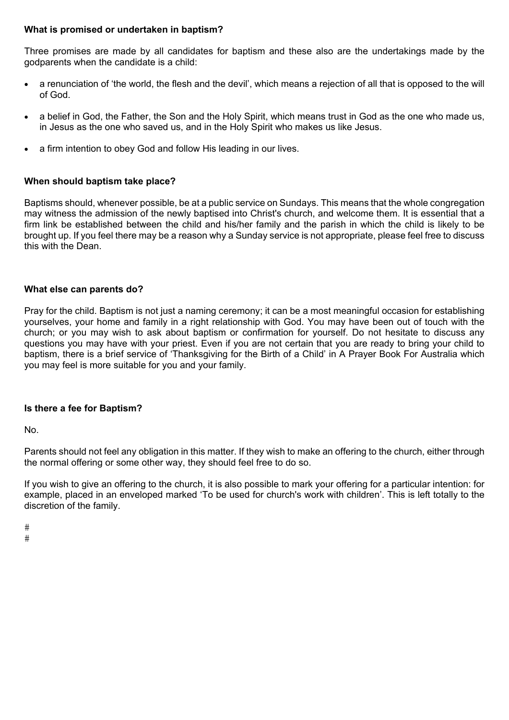#### **What is promised or undertaken in baptism?**

Three promises are made by all candidates for baptism and these also are the undertakings made by the godparents when the candidate is a child:

- a renunciation of 'the world, the flesh and the devil', which means a rejection of all that is opposed to the will of God.
- a belief in God, the Father, the Son and the Holy Spirit, which means trust in God as the one who made us, in Jesus as the one who saved us, and in the Holy Spirit who makes us like Jesus.
- a firm intention to obey God and follow His leading in our lives.

#### **When should baptism take place?**

Baptisms should, whenever possible, be at a public service on Sundays. This means that the whole congregation may witness the admission of the newly baptised into Christ's church, and welcome them. It is essential that a firm link be established between the child and his/her family and the parish in which the child is likely to be brought up. If you feel there may be a reason why a Sunday service is not appropriate, please feel free to discuss this with the Dean.

#### **What else can parents do?**

Pray for the child. Baptism is not just a naming ceremony; it can be a most meaningful occasion for establishing yourselves, your home and family in a right relationship with God. You may have been out of touch with the church; or you may wish to ask about baptism or confirmation for yourself. Do not hesitate to discuss any questions you may have with your priest. Even if you are not certain that you are ready to bring your child to baptism, there is a brief service of 'Thanksgiving for the Birth of a Child' in A Prayer Book For Australia which you may feel is more suitable for you and your family.

#### **Is there a fee for Baptism?**

No.

Parents should not feel any obligation in this matter. If they wish to make an offering to the church, either through the normal offering or some other way, they should feel free to do so.

If you wish to give an offering to the church, it is also possible to mark your offering for a particular intention: for example, placed in an enveloped marked 'To be used for church's work with children'. This is left totally to the discretion of the family.

 $#$ 

 $#$